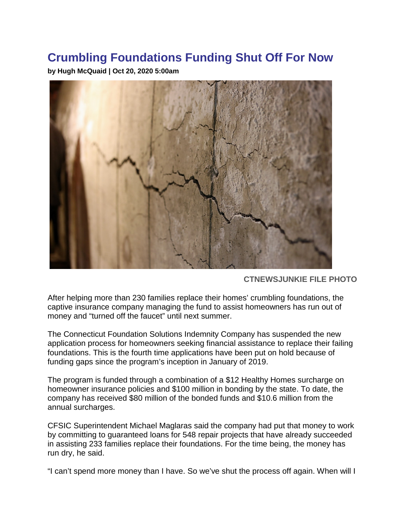## **Crumbling Foundations Funding Shut Off For Now**

**by Hugh McQuaid | Oct 20, 2020 5:00am**



**CTNEWSJUNKIE FILE PHOTO**

After helping more than 230 families replace their homes' crumbling foundations, the captive insurance company managing the fund to assist homeowners has run out of money and "turned off the faucet" until next summer.

The Connecticut Foundation Solutions Indemnity Company has suspended the new application process for homeowners seeking financial assistance to replace their failing foundations. This is the fourth time applications have been put on hold because of funding gaps since the program's inception in January of 2019.

The program is funded through a combination of a \$12 Healthy Homes surcharge on homeowner insurance policies and \$100 million in bonding by the state. To date, the company has received \$80 million of the bonded funds and \$10.6 million from the annual surcharges.

CFSIC Superintendent Michael Maglaras said the company had put that money to work by committing to guaranteed loans for 548 repair projects that have already succeeded in assisting 233 families replace their foundations. For the time being, the money has run dry, he said.

"I can't spend more money than I have. So we've shut the process off again. When will I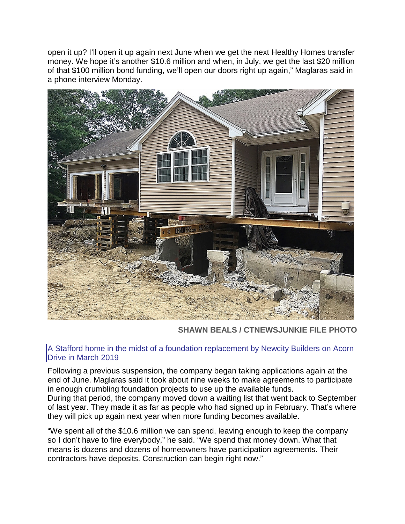open it up? I'll open it up again next June when we get the next Healthy Homes transfer money. We hope it's another \$10.6 million and when, in July, we get the last \$20 million of that \$100 million bond funding, we'll open our doors right up again," Maglaras said in a phone interview Monday.



**SHAWN BEALS / CTNEWSJUNKIE FILE PHOTO**

## A Stafford home in the midst of a foundation replacement by Newcity Builders on Acorn Drive in March 2019

Following a previous suspension, the company began taking applications again at the end of June. Maglaras said it took about nine weeks to make agreements to participate in enough crumbling foundation projects to use up the available funds.

During that period, the company moved down a waiting list that went back to September of last year. They made it as far as people who had signed up in February. That's where they will pick up again next year when more funding becomes available.

"We spent all of the \$10.6 million we can spend, leaving enough to keep the company so I don't have to fire everybody," he said. "We spend that money down. What that means is dozens and dozens of homeowners have participation agreements. Their contractors have deposits. Construction can begin right now."